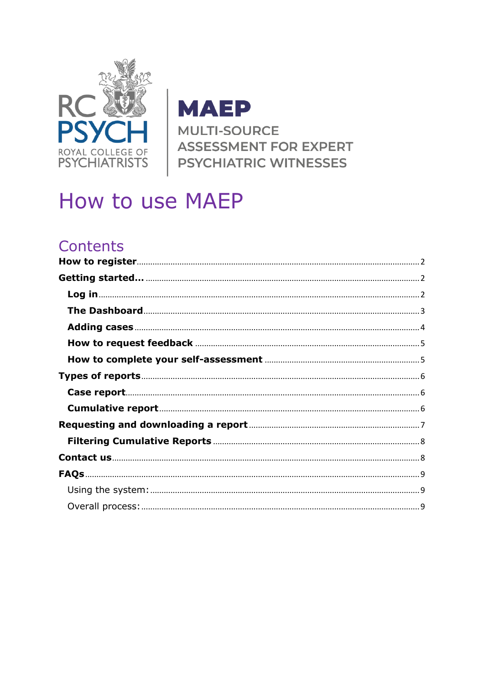

**MAEP MULTI-SOURCE ASSESSMENT FOR EXPERT PSYCHIATRIC WITNESSES** 

# How to use MAEP

# Contents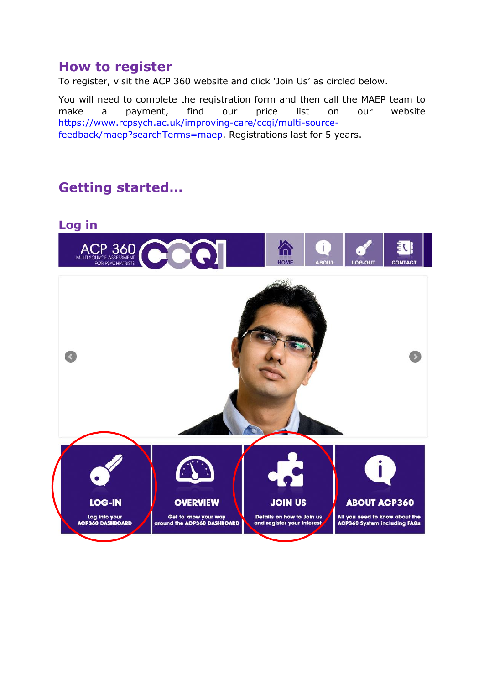# <span id="page-1-0"></span>**How to register**

To register, visit the ACP 360 website and click 'Join Us' as circled below.

You will need to complete the registration form and then call the MAEP team to make a payment, find our price list on our website [https://www.rcpsych.ac.uk/improving-care/ccqi/multi-source](https://www.rcpsych.ac.uk/improving-care/ccqi/multi-source-feedback/maep?searchTerms=maep)[feedback/maep?searchTerms=maep.](https://www.rcpsych.ac.uk/improving-care/ccqi/multi-source-feedback/maep?searchTerms=maep) Registrations last for 5 years.

# <span id="page-1-1"></span>**Getting started…**

<span id="page-1-2"></span>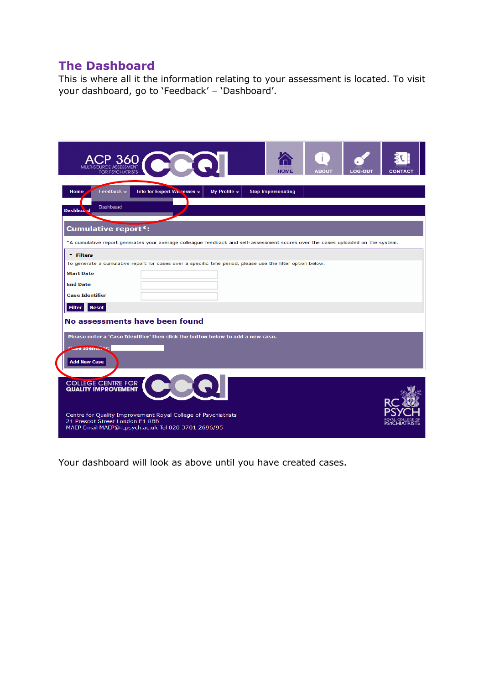### <span id="page-2-0"></span>**The Dashboard**

This is where all it the information relating to your assessment is located. To visit your dashboard, go to 'Feedback' – 'Dashboard'.

| <b>FOR PSYCHIATRISTS</b>                                                                                                                                                                                          | ACP 360                                                                         |                                  | <b>HOME</b>               | <b>ABOUT</b> | <b>LOG-OUT</b> | <b>CONTAC</b> |  |
|-------------------------------------------------------------------------------------------------------------------------------------------------------------------------------------------------------------------|---------------------------------------------------------------------------------|----------------------------------|---------------------------|--------------|----------------|---------------|--|
| Feedback $\blacktriangleright$<br>Home<br>Dashboard<br>Dashbo&*d                                                                                                                                                  | Info for Expert Wheesses -                                                      | My Profile $\blacktriangleright$ | <b>Stop Impersonating</b> |              |                |               |  |
| <b>Cumulative report*:</b>                                                                                                                                                                                        |                                                                                 |                                  |                           |              |                |               |  |
| *A cumulative report generates your average colleague feedback and self-assessment scores over the cases uploaded on the system.                                                                                  |                                                                                 |                                  |                           |              |                |               |  |
| * Filters                                                                                                                                                                                                         |                                                                                 |                                  |                           |              |                |               |  |
| To generate a cumulative report for cases over a specific time period, please use the filter option below.                                                                                                        |                                                                                 |                                  |                           |              |                |               |  |
| <b>Start Date</b>                                                                                                                                                                                                 |                                                                                 |                                  |                           |              |                |               |  |
| <b>End Date</b>                                                                                                                                                                                                   |                                                                                 |                                  |                           |              |                |               |  |
| <b>Case Identifier</b>                                                                                                                                                                                            |                                                                                 |                                  |                           |              |                |               |  |
| <b>Filter</b><br>Reset                                                                                                                                                                                            |                                                                                 |                                  |                           |              |                |               |  |
| No assessments have been found<br>ase Identity "<br><b>Add New Case</b>                                                                                                                                           | Please enter a 'Case Identifier' then click the button below to add a new case. |                                  |                           |              |                |               |  |
| <b>COLLEGE CENTRE FOR</b><br><b>QUALITY IMPROVEMENT</b><br>Centre for Quality Improvement Royal College of Psychiatrists<br>21 Prescot Street London E1 8BB<br>MAEP Email MAEP@rcpsych.ac.uk Tel 020 3701 2696/95 |                                                                                 |                                  |                           |              |                |               |  |

Your dashboard will look as above until you have created cases.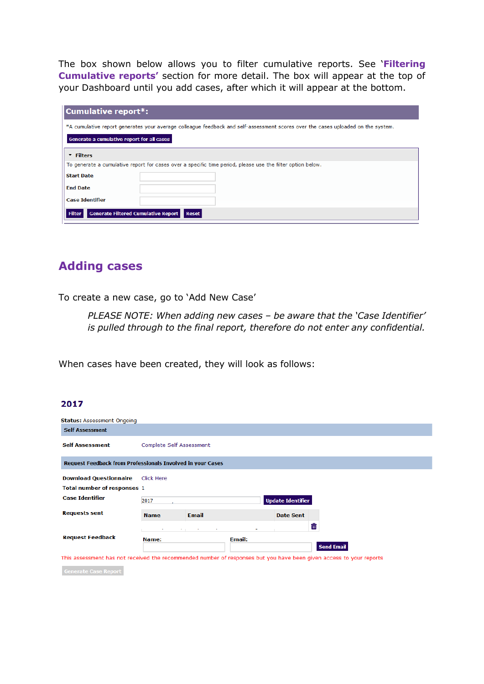The box shown below allows you to filter cumulative reports. See '**Filtering Cumulative reports'** section for more detail. The box will appear at the top of your Dashboard until you add cases, after which it will appear at the bottom.

| <b>Cumulative report*:</b>                                                                                                       |
|----------------------------------------------------------------------------------------------------------------------------------|
| *A cumulative report generates your average colleague feedback and self-assessment scores over the cases uploaded on the system. |
| Generate a cumulative report for all cases                                                                                       |
| * Filters                                                                                                                        |
| To generate a cumulative report for cases over a specific time period, please use the filter option below.                       |
| <b>Start Date</b>                                                                                                                |
| <b>End Date</b>                                                                                                                  |
| <b>Case Identifier</b>                                                                                                           |
| Filter<br><b>Generate Filtered Cumulative Report</b><br><b>Reset</b>                                                             |

### <span id="page-3-0"></span>**Adding cases**

To create a new case, go to 'Add New Case'

*PLEASE NOTE: When adding new cases – be aware that the 'Case Identifier' is pulled through to the final report, therefore do not enter any confidential.* 

When cases have been created, they will look as follows:

#### 2017

| <b>Status: Assessment Ongoing</b>                                                                                   |                          |                 |               |                          |                   |
|---------------------------------------------------------------------------------------------------------------------|--------------------------|-----------------|---------------|--------------------------|-------------------|
| <b>Self Assessment</b>                                                                                              |                          |                 |               |                          |                   |
| Self Assessment                                                                                                     | Complete Self Assessment |                 |               |                          |                   |
| <b>Request Feedback from Professionals Involved in your Cases</b>                                                   |                          |                 |               |                          |                   |
| <b>Download Questionnaire</b>                                                                                       | <b>Click Here</b>        |                 |               |                          |                   |
| Total number of responses 1                                                                                         |                          |                 |               |                          |                   |
| <b>Case Identifier</b>                                                                                              | 2017                     |                 |               | <b>Update Identifier</b> |                   |
| <b>Requests sent</b>                                                                                                | <b>Name</b>              | <b>Email</b>    |               | <b>Date Sent</b>         |                   |
|                                                                                                                     |                          | <b>Programs</b> |               |                          | ш                 |
| <b>Request Feedback</b>                                                                                             | Name:                    |                 | <b>Email:</b> |                          | <b>Send Email</b> |
| This assessment has not received the recommended number of responses but you have been given access to your reports |                          |                 |               |                          |                   |

Generate Case Report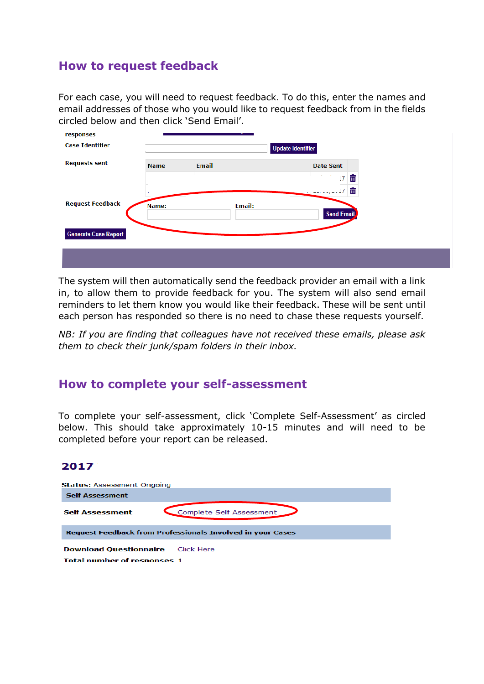### <span id="page-4-0"></span>**How to request feedback**

For each case, you will need to request feedback. To do this, enter the names and email addresses of those who you would like to request feedback from in the fields circled below and then click 'Send Email'.

| responses                   |             |              |                                             |
|-----------------------------|-------------|--------------|---------------------------------------------|
| <b>Case Identifier</b>      | $\sim$      |              | <b>Update Identifier</b>                    |
| <b>Requests sent</b>        |             |              |                                             |
|                             | <b>Name</b> | <b>Email</b> | <b>Date Sent</b>                            |
|                             |             |              | шĪ<br>$\overline{.7}$                       |
|                             |             |              | ŵ<br>$\mathbf{r} = \mathbf{r} - \mathbf{r}$ |
| <b>Request Feedback</b>     | Name:       | Email:       | <b>Send Email</b>                           |
| <b>Generate Case Report</b> |             |              |                                             |
|                             |             |              |                                             |
|                             |             |              |                                             |

The system will then automatically send the feedback provider an email with a link in, to allow them to provide feedback for you. The system will also send email reminders to let them know you would like their feedback. These will be sent until each person has responded so there is no need to chase these requests yourself.

*NB: If you are finding that colleagues have not received these emails, please ask them to check their junk/spam folders in their inbox.*

### <span id="page-4-1"></span>**How to complete your self-assessment**

To complete your self-assessment, click 'Complete Self-Assessment' as circled below. This should take approximately 10-15 minutes and will need to be completed before your report can be released.

#### 2017

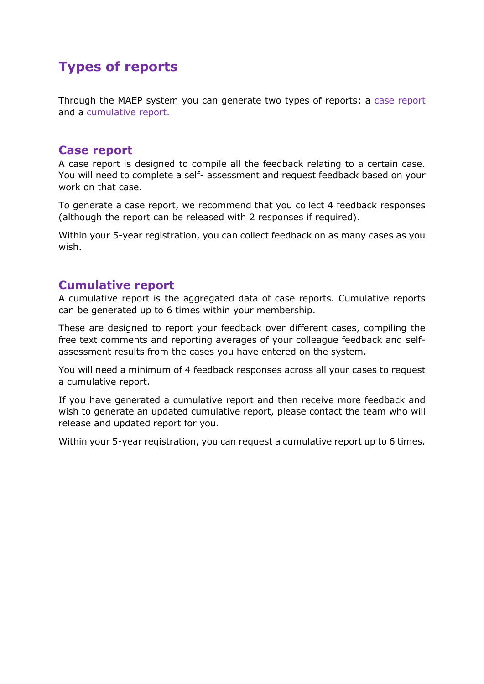# <span id="page-5-0"></span>**Types of reports**

Through the MAEP system you can generate two types of reports: a case report and a cumulative report.

### <span id="page-5-1"></span>**Case report**

A case report is designed to compile all the feedback relating to a certain case. You will need to complete a self- assessment and request feedback based on your work on that case.

To generate a case report, we recommend that you collect 4 feedback responses (although the report can be released with 2 responses if required).

Within your 5-year registration, you can collect feedback on as many cases as you wish.

### <span id="page-5-2"></span>**Cumulative report**

A cumulative report is the aggregated data of case reports. Cumulative reports can be generated up to 6 times within your membership.

These are designed to report your feedback over different cases, compiling the free text comments and reporting averages of your colleague feedback and selfassessment results from the cases you have entered on the system.

You will need a minimum of 4 feedback responses across all your cases to request a cumulative report.

If you have generated a cumulative report and then receive more feedback and wish to generate an updated cumulative report, please contact the team who will release and updated report for you.

Within your 5-year registration, you can request a cumulative report up to 6 times.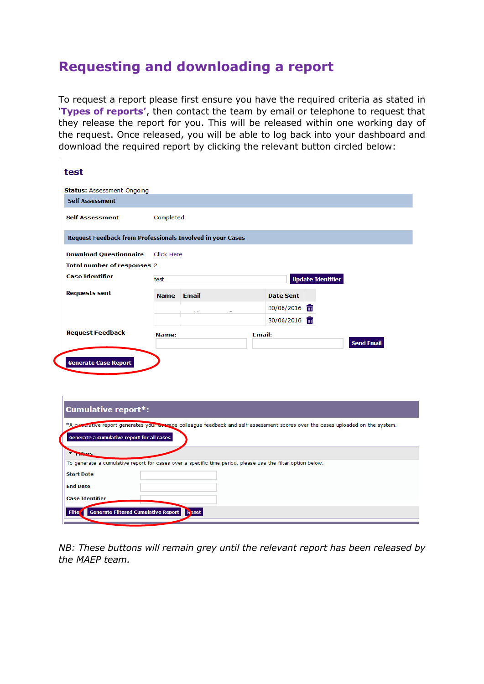# <span id="page-6-0"></span>**Requesting and downloading a report**

 $\mathbf{I}$ 

**Start Date End Date Case Identifier** 

Filte Generate Filtered Cumulative Report

To request a report please first ensure you have the required criteria as stated in '**Types of reports'**, then contact the team by email or telephone to request that they release the report for you. This will be released within one working day of the request. Once released, you will be able to log back into your dashboard and download the required report by clicking the relevant button circled below:

| test                                                                                                                                                                           |             |                                                                                                            |               |                  |                          |                   |
|--------------------------------------------------------------------------------------------------------------------------------------------------------------------------------|-------------|------------------------------------------------------------------------------------------------------------|---------------|------------------|--------------------------|-------------------|
| <b>Status: Assessment Ongoing</b>                                                                                                                                              |             |                                                                                                            |               |                  |                          |                   |
| <b>Self Assessment</b>                                                                                                                                                         |             |                                                                                                            |               |                  |                          |                   |
| <b>Self Assessment</b>                                                                                                                                                         | Completed   |                                                                                                            |               |                  |                          |                   |
| <b>Request Feedback from Professionals Involved in your Cases</b>                                                                                                              |             |                                                                                                            |               |                  |                          |                   |
| <b>Download Questionnaire</b>                                                                                                                                                  | Click Here  |                                                                                                            |               |                  |                          |                   |
| <b>Total number of responses 2</b>                                                                                                                                             |             |                                                                                                            |               |                  |                          |                   |
| <b>Case Identifier</b>                                                                                                                                                         | test        |                                                                                                            |               |                  | <b>Update Identifier</b> |                   |
| <b>Requests sent</b>                                                                                                                                                           | <b>Name</b> | Email                                                                                                      |               | <b>Date Sent</b> |                          |                   |
|                                                                                                                                                                                |             |                                                                                                            |               | 30/06/2016 面     |                          |                   |
|                                                                                                                                                                                |             |                                                                                                            |               | 30/06/2016 而     |                          |                   |
| <b>Request Feedback</b>                                                                                                                                                        | Name:       |                                                                                                            | <b>Email:</b> |                  |                          |                   |
|                                                                                                                                                                                |             |                                                                                                            |               |                  |                          | <b>Send Email</b> |
| <b>Generate Case Report</b>                                                                                                                                                    |             |                                                                                                            |               |                  |                          |                   |
| <b>Cumulative report*:</b>                                                                                                                                                     |             |                                                                                                            |               |                  |                          |                   |
| *A cumerature report generates your exerage colleague feedback and self-assessment scores over the cases uploaded on the system.<br>Generate a cumulative report for all cases |             |                                                                                                            |               |                  |                          |                   |
| <b>Waters</b>                                                                                                                                                                  |             | To generate a cumulative report for cases over a specific time period, please use the filter option below. |               |                  |                          |                   |

*NB: These buttons will remain grey until the relevant report has been released by the MAEP team.*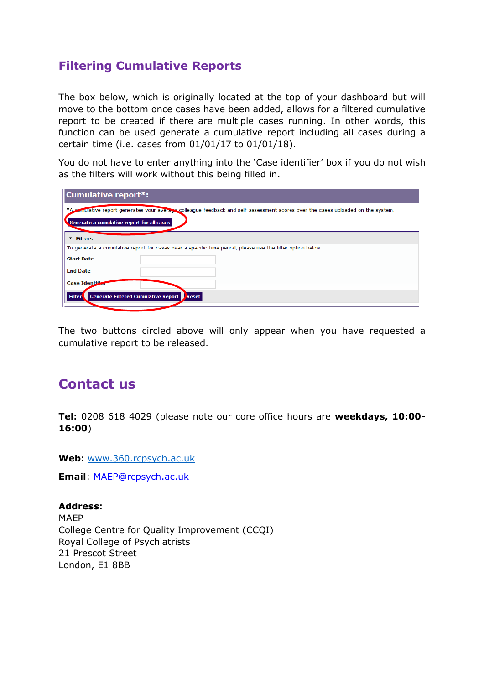## <span id="page-7-0"></span>**Filtering Cumulative Reports**

The box below, which is originally located at the top of your dashboard but will move to the bottom once cases have been added, allows for a filtered cumulative report to be created if there are multiple cases running. In other words, this function can be used generate a cumulative report including all cases during a certain time (i.e. cases from 01/01/17 to 01/01/18).

You do not have to enter anything into the 'Case identifier' box if you do not wish as the filters will work without this being filled in.

| <b>Cumulative report*:</b>                                                                                                                                                     |
|--------------------------------------------------------------------------------------------------------------------------------------------------------------------------------|
| *A comulative report generates your average colleague feedback and self-assessment scores over the cases uploaded on the system.<br>Generate a cumulative report for all cases |
| * Filters                                                                                                                                                                      |
| To generate a cumulative report for cases over a specific time period, please use the filter option below.                                                                     |
| <b>Start Date</b>                                                                                                                                                              |
| <b>End Date</b>                                                                                                                                                                |
| Case Identified                                                                                                                                                                |
| Filter<br><b>Generate Filtered Cumulative Report</b><br><b>Reset</b>                                                                                                           |

The two buttons circled above will only appear when you have requested a cumulative report to be released.

# <span id="page-7-1"></span>**Contact us**

**Tel:** 0208 618 4029 (please note our core office hours are **weekdays, 10:00- 16:00**)

**Web:** [www.360.rcpsych.ac.uk](http://www.360.rcpsych.ac.uk/)

**Email**: [MAEP@rcpsych.ac.uk](mailto:MAEP@rcpsych.ac.uk)

**Address:** MAEP College Centre for Quality Improvement (CCQI) Royal College of Psychiatrists 21 Prescot Street London, E1 8BB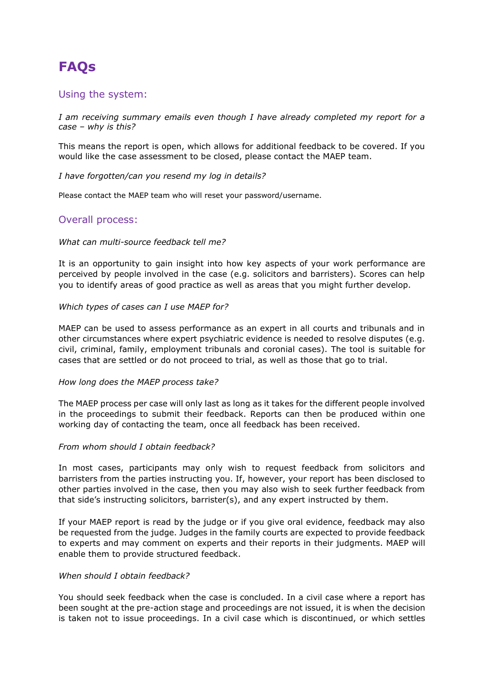# <span id="page-8-0"></span>**FAQs**

#### <span id="page-8-1"></span>Using the system:

*I am receiving summary emails even though I have already completed my report for a case – why is this?* 

This means the report is open, which allows for additional feedback to be covered. If you would like the case assessment to be closed, please contact the MAEP team.

#### *I have forgotten/can you resend my log in details?*

Please contact the MAEP team who will reset your password/username.

#### <span id="page-8-2"></span>Overall process:

#### *What can multi-source feedback tell me?*

It is an opportunity to gain insight into how key aspects of your work performance are perceived by people involved in the case (e.g. solicitors and barristers). Scores can help you to identify areas of good practice as well as areas that you might further develop.

#### *Which types of cases can I use MAEP for?*

MAEP can be used to assess performance as an expert in all courts and tribunals and in other circumstances where expert psychiatric evidence is needed to resolve disputes (e.g. civil, criminal, family, employment tribunals and coronial cases). The tool is suitable for cases that are settled or do not proceed to trial, as well as those that go to trial.

#### *How long does the MAEP process take?*

The MAEP process per case will only last as long as it takes for the different people involved in the proceedings to submit their feedback. Reports can then be produced within one working day of contacting the team, once all feedback has been received.

#### *From whom should I obtain feedback?*

In most cases, participants may only wish to request feedback from solicitors and barristers from the parties instructing you. If, however, your report has been disclosed to other parties involved in the case, then you may also wish to seek further feedback from that side's instructing solicitors, barrister(s), and any expert instructed by them.

If your MAEP report is read by the judge or if you give oral evidence, feedback may also be requested from the judge. Judges in the family courts are expected to provide feedback to experts and may comment on experts and their reports in their judgments. MAEP will enable them to provide structured feedback.

#### *When should I obtain feedback?*

You should seek feedback when the case is concluded. In a civil case where a report has been sought at the pre-action stage and proceedings are not issued, it is when the decision is taken not to issue proceedings. In a civil case which is discontinued, or which settles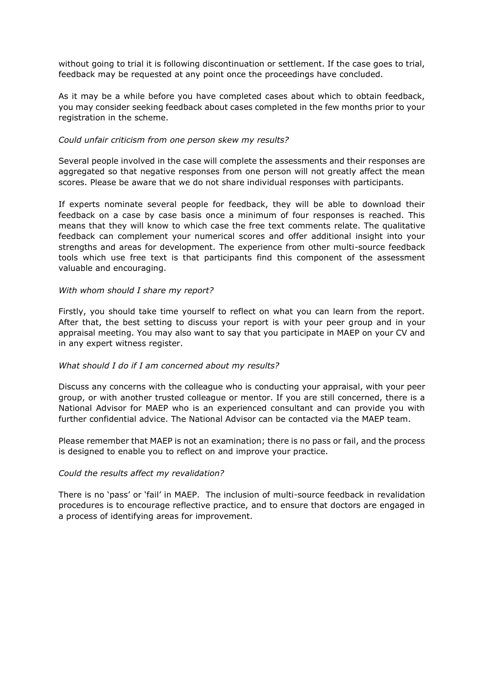without going to trial it is following discontinuation or settlement. If the case goes to trial, feedback may be requested at any point once the proceedings have concluded.

As it may be a while before you have completed cases about which to obtain feedback, you may consider seeking feedback about cases completed in the few months prior to your registration in the scheme.

#### *Could unfair criticism from one person skew my results?*

Several people involved in the case will complete the assessments and their responses are aggregated so that negative responses from one person will not greatly affect the mean scores. Please be aware that we do not share individual responses with participants.

If experts nominate several people for feedback, they will be able to download their feedback on a case by case basis once a minimum of four responses is reached. This means that they will know to which case the free text comments relate. The qualitative feedback can complement your numerical scores and offer additional insight into your strengths and areas for development. The experience from other multi-source feedback tools which use free text is that participants find this component of the assessment valuable and encouraging.

#### *With whom should I share my report?*

Firstly, you should take time yourself to reflect on what you can learn from the report. After that, the best setting to discuss your report is with your peer group and in your appraisal meeting. You may also want to say that you participate in MAEP on your CV and in any expert witness register.

#### *What should I do if I am concerned about my results?*

Discuss any concerns with the colleague who is conducting your appraisal, with your peer group, or with another trusted colleague or mentor. If you are still concerned, there is a National Advisor for MAEP who is an experienced consultant and can provide you with further confidential advice. The National Advisor can be contacted via the MAEP team.

Please remember that MAEP is not an examination; there is no pass or fail, and the process is designed to enable you to reflect on and improve your practice.

#### *Could the results affect my revalidation?*

There is no 'pass' or 'fail' in MAEP. The inclusion of multi-source feedback in revalidation procedures is to encourage reflective practice, and to ensure that doctors are engaged in a process of identifying areas for improvement.